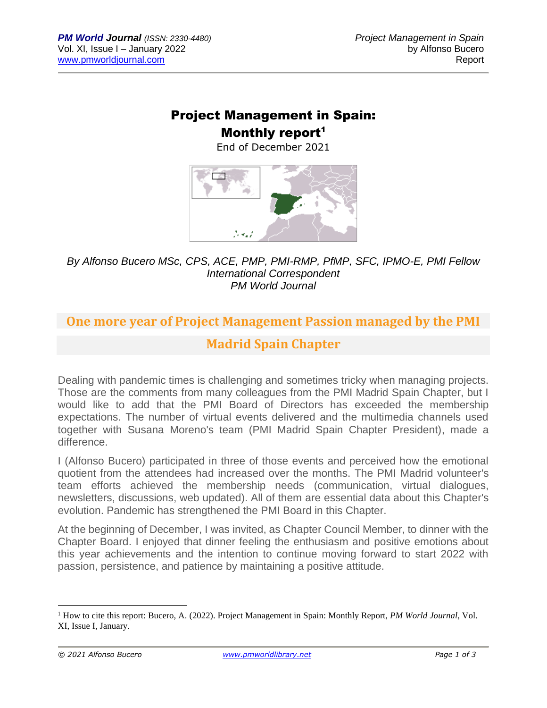## Project Management in Spain:

### Monthly report<sup>1</sup>

End of December 2021



#### *By Alfonso Bucero MSc, CPS, ACE, PMP, PMI-RMP, PfMP, SFC, IPMO-E, PMI Fellow International Correspondent PM World Journal*

# **One more year of Project Management Passion managed by the PMI Madrid Spain Chapter**

Dealing with pandemic times is challenging and sometimes tricky when managing projects. Those are the comments from many colleagues from the PMI Madrid Spain Chapter, but I would like to add that the PMI Board of Directors has exceeded the membership expectations. The number of virtual events delivered and the multimedia channels used together with Susana Moreno's team (PMI Madrid Spain Chapter President), made a difference.

I (Alfonso Bucero) participated in three of those events and perceived how the emotional quotient from the attendees had increased over the months. The PMI Madrid volunteer's team efforts achieved the membership needs (communication, virtual dialogues, newsletters, discussions, web updated). All of them are essential data about this Chapter's evolution. Pandemic has strengthened the PMI Board in this Chapter.

At the beginning of December, I was invited, as Chapter Council Member, to dinner with the Chapter Board. I enjoyed that dinner feeling the enthusiasm and positive emotions about this year achievements and the intention to continue moving forward to start 2022 with passion, persistence, and patience by maintaining a positive attitude.

<sup>1</sup> How to cite this report: Bucero, A. (2022). Project Management in Spain: Monthly Report, *PM World Journal*, Vol. XI, Issue I, January.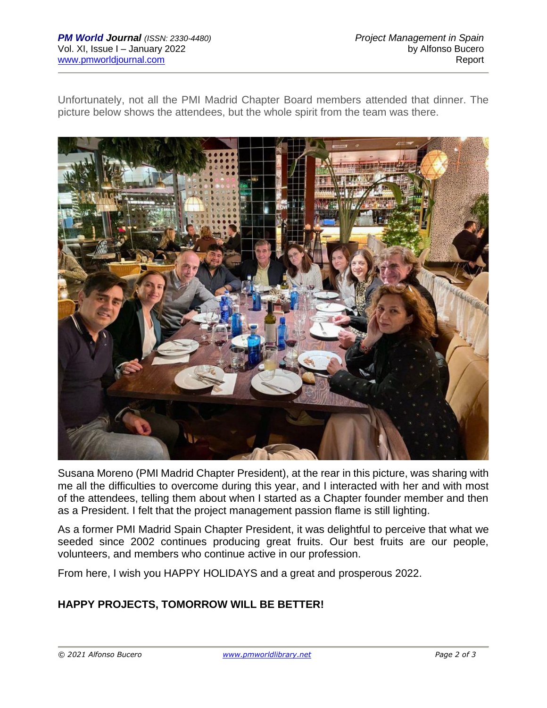Unfortunately, not all the PMI Madrid Chapter Board members attended that dinner. The picture below shows the attendees, but the whole spirit from the team was there.



Susana Moreno (PMI Madrid Chapter President), at the rear in this picture, was sharing with me all the difficulties to overcome during this year, and I interacted with her and with most of the attendees, telling them about when I started as a Chapter founder member and then as a President. I felt that the project management passion flame is still lighting.

As a former PMI Madrid Spain Chapter President, it was delightful to perceive that what we seeded since 2002 continues producing great fruits. Our best fruits are our people, volunteers, and members who continue active in our profession.

From here, I wish you HAPPY HOLIDAYS and a great and prosperous 2022.

### **HAPPY PROJECTS, TOMORROW WILL BE BETTER!**